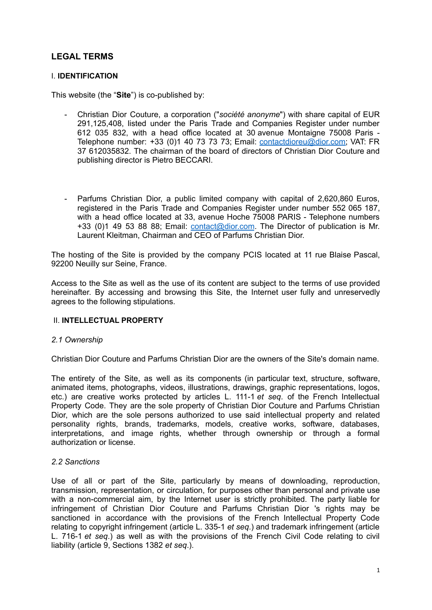# **LEGAL TERMS**

## I. **IDENTIFICATION**

This website (the "**Site**") is co-published by:

- Christian Dior Couture, a corporation ("*société anonyme*") with share capital of EUR 291,125,408, listed under the Paris Trade and Companies Register under number 612 035 832, with a head office located at 30 avenue Montaigne 75008 Paris - Telephone number: +33 (0)1 40 73 73 73; Email: [contactdioreu@dior.com;](mailto:contactdioreu@dior.com) VAT: FR 37 612035832. The chairman of the board of directors of Christian Dior Couture and publishing director is Pietro BECCARI.
- Parfums Christian Dior, a public limited company with capital of 2,620,860 Euros, registered in the Paris Trade and Companies Register under number 552 065 187, with a head office located at 33, avenue Hoche 75008 PARIS - Telephone numbers +33 (0)1 49 53 88 88; Email: [contact@dior.com](mailto:contact@dior.com). The Director of publication is Mr. Laurent Kleitman, Chairman and CEO of Parfums Christian Dior.

The hosting of the Site is provided by the company PCIS located at 11 rue Blaise Pascal, 92200 Neuilly sur Seine, France.

Access to the Site as well as the use of its content are subject to the terms of use provided hereinafter. By accessing and browsing this Site, the Internet user fully and unreservedly agrees to the following stipulations.

#### II. **INTELLECTUAL PROPERTY**

#### *2.1 Ownership*

Christian Dior Couture and Parfums Christian Dior are the owners of the Site's domain name.

The entirety of the Site, as well as its components (in particular text, structure, software, animated items, photographs, videos, illustrations, drawings, graphic representations, logos, etc.) are creative works protected by articles L. 111-1 *et seq*. of the French Intellectual Property Code. They are the sole property of Christian Dior Couture and Parfums Christian Dior, which are the sole persons authorized to use said intellectual property and related personality rights, brands, trademarks, models, creative works, software, databases, interpretations, and image rights, whether through ownership or through a formal authorization or license.

#### *2.2 Sanctions*

Use of all or part of the Site, particularly by means of downloading, reproduction, transmission, representation, or circulation, for purposes other than personal and private use with a non-commercial aim, by the Internet user is strictly prohibited. The party liable for infringement of Christian Dior Couture and Parfums Christian Dior 's rights may be sanctioned in accordance with the provisions of the French Intellectual Property Code relating to copyright infringement (article L. 335-1 *et seq*.) and trademark infringement (article L. 716-1 *et seq*.) as well as with the provisions of the French Civil Code relating to civil liability (article 9, Sections 1382 *et seq*.).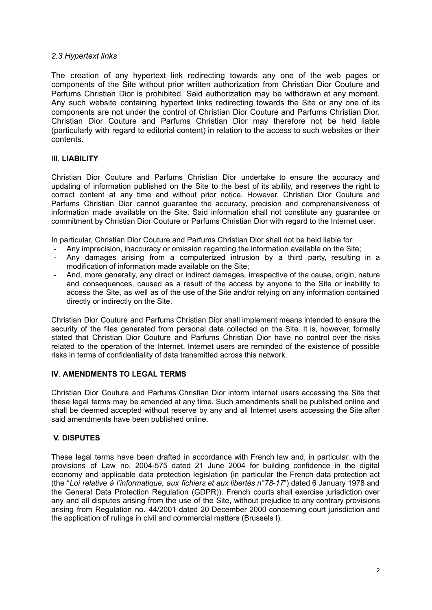## *2.3 Hypertext links*

The creation of any hypertext link redirecting towards any one of the web pages or components of the Site without prior written authorization from Christian Dior Couture and Parfums Christian Dior is prohibited. Said authorization may be withdrawn at any moment. Any such website containing hypertext links redirecting towards the Site or any one of its components are not under the control of Christian Dior Couture and Parfums Christian Dior. Christian Dior Couture and Parfums Christian Dior may therefore not be held liable (particularly with regard to editorial content) in relation to the access to such websites or their contents.

## III. **LIABILITY**

Christian Dior Couture and Parfums Christian Dior undertake to ensure the accuracy and updating of information published on the Site to the best of its ability, and reserves the right to correct content at any time and without prior notice. However, Christian Dior Couture and Parfums Christian Dior cannot guarantee the accuracy, precision and comprehensiveness of information made available on the Site. Said information shall not constitute any guarantee or commitment by Christian Dior Couture or Parfums Christian Dior with regard to the Internet user.

In particular, Christian Dior Couture and Parfums Christian Dior shall not be held liable for:

- Any imprecision, inaccuracy or omission regarding the information available on the Site;
- Any damages arising from a computerized intrusion by a third party, resulting in a modification of information made available on the Site;
- And, more generally, any direct or indirect damages, irrespective of the cause, origin, nature and consequences, caused as a result of the access by anyone to the Site or inability to access the Site, as well as of the use of the Site and/or relying on any information contained directly or indirectly on the Site.

Christian Dior Couture and Parfums Christian Dior shall implement means intended to ensure the security of the files generated from personal data collected on the Site. It is, however, formally stated that Christian Dior Couture and Parfums Christian Dior have no control over the risks related to the operation of the Internet. Internet users are reminded of the existence of possible risks in terms of confidentiality of data transmitted across this network.

# **IV**. **AMENDMENTS TO LEGAL TERMS**

Christian Dior Couture and Parfums Christian Dior inform Internet users accessing the Site that these legal terms may be amended at any time. Such amendments shall be published online and shall be deemed accepted without reserve by any and all Internet users accessing the Site after said amendments have been published online.

# **V. DISPUTES**

These legal terms have been drafted in accordance with French law and, in particular, with the provisions of Law no. 2004-575 dated 21 June 2004 for building confidence in the digital economy and applicable data protection legislation (in particular the French data protection act (the "*Loi relative à l'informatique, aux fichiers et aux libertés n°78-17*") dated 6 January 1978 and the General Data Protection Regulation (GDPR)). French courts shall exercise jurisdiction over any and all disputes arising from the use of the Site, without prejudice to any contrary provisions arising from Regulation no. 44/2001 dated 20 December 2000 concerning court jurisdiction and the application of rulings in civil and commercial matters (Brussels I).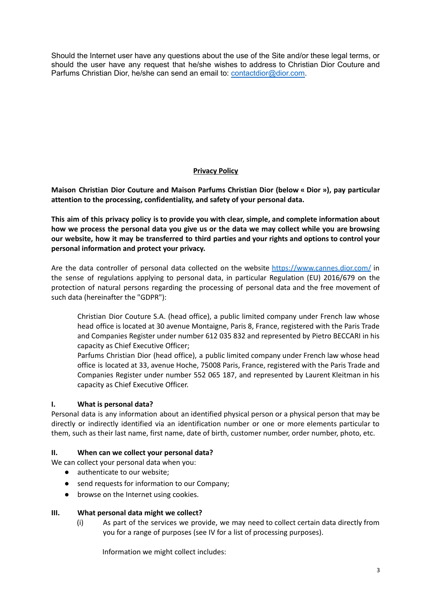Should the Internet user have any questions about the use of the Site and/or these legal terms, or should the user have any request that he/she wishes to address to Christian Dior Couture and Parfums Christian Dior, he/she can send an email to: [contactdior@dior.com.](mailto:contactdior@dior.com)

# **Privacy Policy**

**Maison Christian Dior Couture and Maison Parfums Christian Dior (below « Dior »), pay particular attention to the processing, confidentiality, and safety of your personal data.**

**This aim of this privacy policy is to provide you with clear, simple, and complete information about** how we process the personal data you give us or the data we may collect while you are browsing our website, how it may be transferred to third parties and your rights and options to control your **personal information and protect your privacy.**

Are the data controller of personal data collected on the website <https://www.cannes.dior.com/> in the sense of regulations applying to personal data, in particular Regulation (EU) 2016/679 on the protection of natural persons regarding the processing of personal data and the free movement of such data (hereinafter the "GDPR"):

Christian Dior Couture S.A. (head office), a public limited company under French law whose head office is located at 30 avenue Montaigne, Paris 8, France, registered with the Paris Trade and Companies Register under number 612 035 832 and represented by Pietro BECCARI in his capacity as Chief Executive Officer;

Parfums Christian Dior (head office), a public limited company under French law whose head office is located at 33, avenue Hoche, 75008 Paris, France, registered with the Paris Trade and Companies Register under number 552 065 187, and represented by Laurent Kleitman in his capacity as Chief Executive Officer.

# **I. What is personal data?**

Personal data is any information about an identified physical person or a physical person that may be directly or indirectly identified via an identification number or one or more elements particular to them, such as their last name, first name, date of birth, customer number, order number, photo, etc.

#### **II. When can we collect your personal data?**

We can collect your personal data when you:

- authenticate to our website;
- send requests for information to our Company;
- browse on the Internet using cookies.

#### **III. What personal data might we collect?**

(i) As part of the services we provide, we may need to collect certain data directly from you for a range of purposes (see IV for a list of processing purposes).

Information we might collect includes: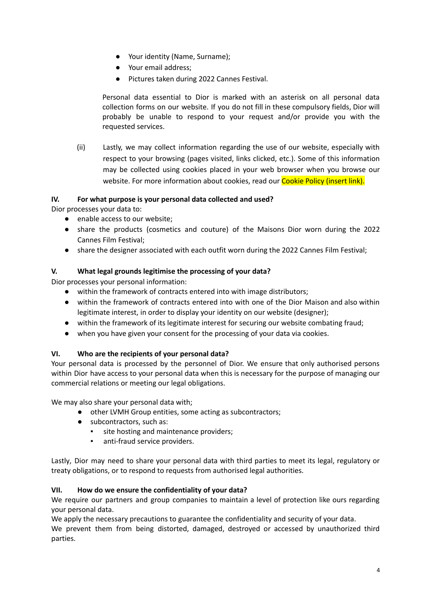- Your identity (Name, Surname);
- Your email address;
- Pictures taken during 2022 Cannes Festival.

Personal data essential to Dior is marked with an asterisk on all personal data collection forms on our website. If you do not fill in these compulsory fields, Dior will probably be unable to respond to your request and/or provide you with the requested services.

(ii) Lastly, we may collect information regarding the use of our website, especially with respect to your browsing (pages visited, links clicked, etc.). Some of this information may be collected using cookies placed in your web browser when you browse our website. For more information about cookies, read our Cookie Policy (insert link).

# **IV. For what purpose is your personal data collected and used?**

Dior processes your data to:

- enable access to our website;
- share the products (cosmetics and couture) of the Maisons Dior worn during the 2022 Cannes Film Festival;
- share the designer associated with each outfit worn during the 2022 Cannes Film Festival;

# **V. What legal grounds legitimise the processing of your data?**

Dior processes your personal information:

- within the framework of contracts entered into with image distributors;
- within the framework of contracts entered into with one of the Dior Maison and also within legitimate interest, in order to display your identity on our website (designer);
- within the framework of its legitimate interest for securing our website combating fraud;
- **●** when you have given your consent for the processing of your data via cookies.

# **VI. Who are the recipients of your personal data?**

Your personal data is processed by the personnel of Dior. We ensure that only authorised persons within Dior have access to your personal data when this is necessary for the purpose of managing our commercial relations or meeting our legal obligations.

We may also share your personal data with;

- other LVMH Group entities, some acting as subcontractors;
- subcontractors, such as:
	- site hosting and maintenance providers;
	- **•** anti-fraud service providers.

Lastly, Dior may need to share your personal data with third parties to meet its legal, regulatory or treaty obligations, or to respond to requests from authorised legal authorities.

# **VII. How do we ensure the confidentiality of your data?**

We require our partners and group companies to maintain a level of protection like ours regarding your personal data.

We apply the necessary precautions to guarantee the confidentiality and security of your data.

We prevent them from being distorted, damaged, destroyed or accessed by unauthorized third parties.